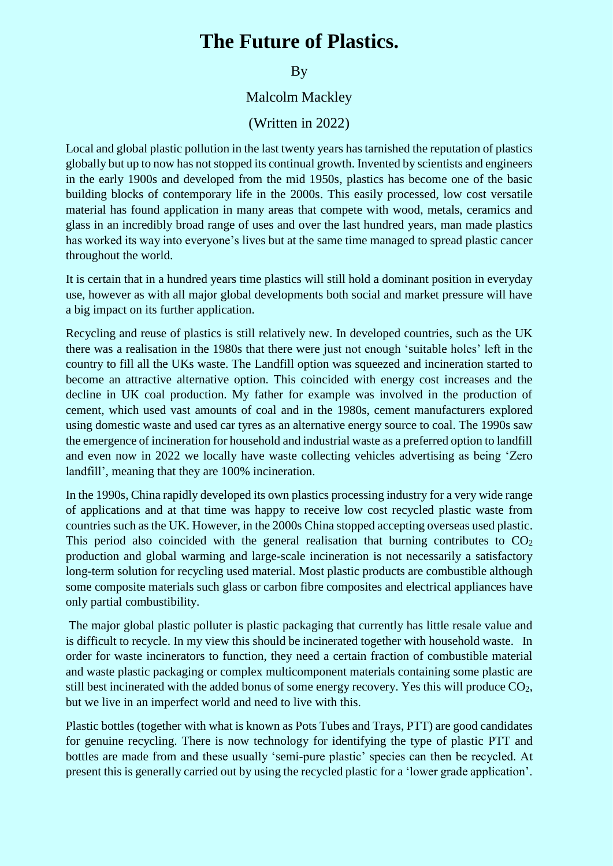## **The Future of Plastics.**

## **By**

## Malcolm Mackley

## (Written in 2022)

Local and global plastic pollution in the last twenty years has tarnished the reputation of plastics globally but up to now has not stopped its continual growth. Invented by scientists and engineers in the early 1900s and developed from the mid 1950s, plastics has become one of the basic building blocks of contemporary life in the 2000s. This easily processed, low cost versatile material has found application in many areas that compete with wood, metals, ceramics and glass in an incredibly broad range of uses and over the last hundred years, man made plastics has worked its way into everyone's lives but at the same time managed to spread plastic cancer throughout the world.

It is certain that in a hundred years time plastics will still hold a dominant position in everyday use, however as with all major global developments both social and market pressure will have a big impact on its further application.

Recycling and reuse of plastics is still relatively new. In developed countries, such as the UK there was a realisation in the 1980s that there were just not enough 'suitable holes' left in the country to fill all the UKs waste. The Landfill option was squeezed and incineration started to become an attractive alternative option. This coincided with energy cost increases and the decline in UK coal production. My father for example was involved in the production of cement, which used vast amounts of coal and in the 1980s, cement manufacturers explored using domestic waste and used car tyres as an alternative energy source to coal. The 1990s saw the emergence of incineration for household and industrial waste as a preferred option to landfill and even now in 2022 we locally have waste collecting vehicles advertising as being 'Zero landfill', meaning that they are 100% incineration.

In the 1990s, China rapidly developed its own plastics processing industry for a very wide range of applications and at that time was happy to receive low cost recycled plastic waste from countries such as the UK. However, in the 2000s China stopped accepting overseas used plastic. This period also coincided with the general realisation that burning contributes to  $CO<sub>2</sub>$ production and global warming and large-scale incineration is not necessarily a satisfactory long-term solution for recycling used material. Most plastic products are combustible although some composite materials such glass or carbon fibre composites and electrical appliances have only partial combustibility.

The major global plastic polluter is plastic packaging that currently has little resale value and is difficult to recycle. In my view this should be incinerated together with household waste. In order for waste incinerators to function, they need a certain fraction of combustible material and waste plastic packaging or complex multicomponent materials containing some plastic are still best incinerated with the added bonus of some energy recovery. Yes this will produce  $CO<sub>2</sub>$ , but we live in an imperfect world and need to live with this.

Plastic bottles (together with what is known as Pots Tubes and Trays, PTT) are good candidates for genuine recycling. There is now technology for identifying the type of plastic PTT and bottles are made from and these usually 'semi-pure plastic' species can then be recycled. At present this is generally carried out by using the recycled plastic for a 'lower grade application'.